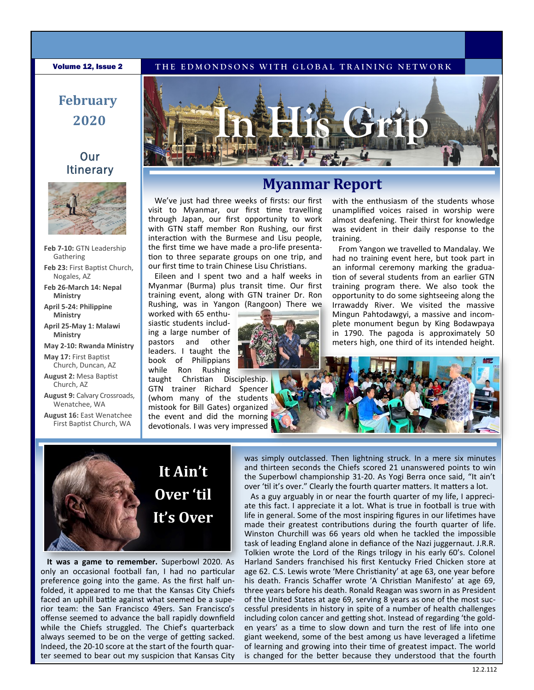#### **Volume 12, Issue 2** THE EDMONDSONS WITH GLOBAL TRAINING NETWORK

# **February 2020**

### Our **Itinerary**



- **Feb 7-10:** GTN Leadership Gathering **Feb 23:** First Baptist Church, Nogales, AZ
- **Feb 26-March 14: Nepal Ministry**
- **April 5-24: Philippine Ministry**
- **April 25-May 1: Malawi Ministry**

**May 2-10: Rwanda Ministry**

**May 17:** First Baptist Church, Duncan, AZ

**August 2:** Mesa Baptist Church, AZ

**August 9:** Calvary Crossroads, Wenatchee, WA

**August 16:** East Wenatchee First Baptist Church, WA



## **Myanmar Report**

We've just had three weeks of firsts: our first visit to Myanmar, our first time travelling through Japan, our first opportunity to work with GTN staff member Ron Rushing, our first interaction with the Burmese and Lisu people, the first time we have made a pro-life presentation to three separate groups on one trip, and our first time to train Chinese Lisu Christians.

Eileen and I spent two and a half weeks in Myanmar (Burma) plus transit time. Our first training event, along with GTN trainer Dr. Ron Rushing, was in Yangon (Rangoon) There we

worked with 65 enthusiastic students including a large number of pastors and other leaders. I taught the book of Philippians while Ron Rushing



taught Christian Discipleship. GTN trainer Richard Spencer (whom many of the students mistook for Bill Gates) organized the event and did the morning devotionals. I was very impressed with the enthusiasm of the students whose unamplified voices raised in worship were almost deafening. Their thirst for knowledge was evident in their daily response to the training.

From Yangon we travelled to Mandalay. We had no training event here, but took part in an informal ceremony marking the graduation of several students from an earlier GTN training program there. We also took the opportunity to do some sightseeing along the Irrawaddy River. We visited the massive Mingun Pahtodawgyi, a massive and incomplete monument begun by King Bodawpaya in 1790. The pagoda is approximately 50 meters high, one third of its intended height.





**It was a game to remember.** Superbowl 2020. As only an occasional football fan, I had no particular preference going into the game. As the first half unfolded, it appeared to me that the Kansas City Chiefs faced an uphill battle against what seemed be a superior team: the San Francisco 49ers. San Francisco's offense seemed to advance the ball rapidly downfield while the Chiefs struggled. The Chief's quarterback always seemed to be on the verge of getting sacked. Indeed, the 20-10 score at the start of the fourth quarter seemed to bear out my suspicion that Kansas City

was simply outclassed. Then lightning struck. In a mere six minutes and thirteen seconds the Chiefs scored 21 unanswered points to win the Superbowl championship 31-20. As Yogi Berra once said, "It ain't over 'til it's over." Clearly the fourth quarter matters. It matters a lot.

As a guy arguably in or near the fourth quarter of my life, I appreciate this fact. I appreciate it a lot. What is true in football is true with life in general. Some of the most inspiring figures in our lifetimes have made their greatest contributions during the fourth quarter of life. Winston Churchill was 66 years old when he tackled the impossible task of leading England alone in defiance of the Nazi juggernaut. J.R.R. Tolkien wrote the Lord of the Rings trilogy in his early 60's. Colonel Harland Sanders franchised his first Kentucky Fried Chicken store at age 62. C.S. Lewis wrote 'Mere Christianity' at age 63, one year before his death. Francis Schaffer wrote 'A Christian Manifesto' at age 69, three years before his death. Ronald Reagan was sworn in as President of the United States at age 69, serving 8 years as one of the most successful presidents in history in spite of a number of health challenges including colon cancer and getting shot. Instead of regarding 'the golden years' as a time to slow down and turn the rest of life into one giant weekend, some of the best among us have leveraged a lifetime of learning and growing into their time of greatest impact. The world is changed for the better because they understood that the fourth